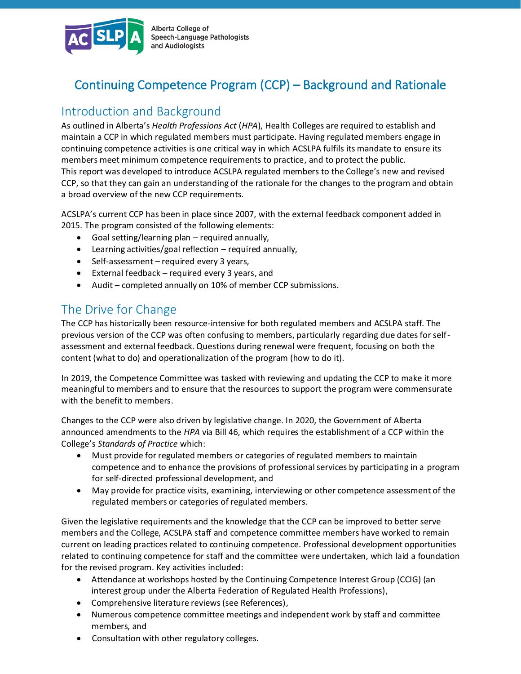

Alberta College of Speech-Language Pathologists and Audiologists

# Continuing Competence Program (CCP) – Background and Rationale

## Introduction and Background

As outlined in Alberta's *Health Professions Act* (*HPA*), Health Colleges are required to establish and maintain a CCP in which regulated members must participate. Having regulated members engage in continuing competence activities is one critical way in which ACSLPA fulfils its mandate to ensure its members meet minimum competence requirements to practice, and to protect the public. This report was developed to introduce ACSLPA regulated members to the College's new and revised CCP, so that they can gain an understanding of the rationale for the changes to the program and obtain a broad overview of the new CCP requirements.

ACSLPA's current CCP has been in place since 2007, with the external feedback component added in 2015. The program consisted of the following elements:

- Goal setting/learning plan required annually,
- Learning activities/goal reflection required annually,
- Self-assessment required every 3 years,
- External feedback required every 3 years, and
- Audit completed annually on 10% of member CCP submissions.

## The Drive for Change

The CCP has historically been resource-intensive for both regulated members and ACSLPA staff. The previous version of the CCP was often confusing to members, particularly regarding due dates for selfassessment and external feedback. Questions during renewal were frequent, focusing on both the content (what to do) and operationalization of the program (how to do it).

In 2019, the Competence Committee was tasked with reviewing and updating the CCP to make it more meaningful to members and to ensure that the resources to support the program were commensurate with the benefit to members.

Changes to the CCP were also driven by legislative change. In 2020, the Government of Alberta announced amendments to the *HPA* via Bill 46, which requires the establishment of a CCP within the College's *Standards of Practice* which:

- Must provide for regulated members or categories of regulated members to maintain competence and to enhance the provisions of professional services by participating in a program for self-directed professional development, and
- May provide for practice visits, examining, interviewing or other competence assessment of the regulated members or categories of regulated members.

Given the legislative requirements and the knowledge that the CCP can be improved to better serve members and the College, ACSLPA staff and competence committee members have worked to remain current on leading practices related to continuing competence. Professional development opportunities related to continuing competence for staff and the committee were undertaken, which laid a foundation for the revised program. Key activities included:

- Attendance at workshops hosted by the Continuing Competence Interest Group (CCIG) (an interest group under the Alberta Federation of Regulated Health Professions),
- Comprehensive literature reviews (see References),
- Numerous competence committee meetings and independent work by staff and committee members, and
- Consultation with other regulatory colleges.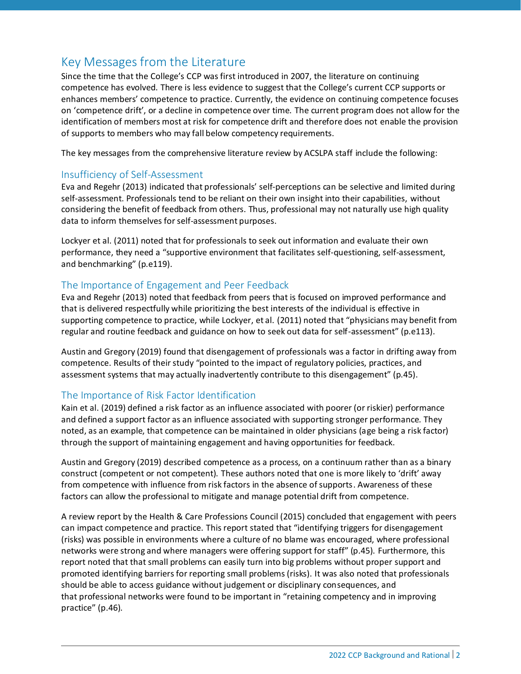# Key Messages from the Literature

Since the time that the College's CCP was first introduced in 2007, the literature on continuing competence has evolved. There is less evidence to suggest that the College's current CCP supports or enhances members' competence to practice. Currently, the evidence on continuing competence focuses on 'competence drift', or a decline in competence over time. The current program does not allow for the identification of members most at risk for competence drift and therefore does not enable the provision of supports to members who may fall below competency requirements.

The key messages from the comprehensive literature review by ACSLPA staff include the following:

### Insufficiency of Self-Assessment

Eva and Regehr (2013) indicated that professionals' self-perceptions can be selective and limited during self-assessment. Professionals tend to be reliant on their own insight into their capabilities, without considering the benefit of feedback from others. Thus, professional may not naturally use high quality data to inform themselves for self-assessment purposes.

Lockyer et al. (2011) noted that for professionals to seek out information and evaluate their own performance, they need a "supportive environment that facilitates self-questioning, self-assessment, and benchmarking" (p.e119).

### The Importance of Engagement and Peer Feedback

Eva and Regehr (2013) noted that feedback from peers that is focused on improved performance and that is delivered respectfully while prioritizing the best interests of the individual is effective in supporting competence to practice, while Lockyer, et al. (2011) noted that "physicians may benefit from regular and routine feedback and guidance on how to seek out data for self-assessment" (p.e113).

Austin and Gregory (2019) found that disengagement of professionals was a factor in drifting away from competence. Results of their study "pointed to the impact of regulatory policies, practices, and assessment systems that may actually inadvertently contribute to this disengagement" (p.45).

## The Importance of Risk Factor Identification

Kain et al. (2019) defined a risk factor as an influence associated with poorer (or riskier) performance and defined a support factor as an influence associated with supporting stronger performance. They noted, as an example, that competence can be maintained in older physicians (age being a risk factor) through the support of maintaining engagement and having opportunities for feedback.

Austin and Gregory (2019) described competence as a process, on a continuum rather than as a binary construct (competent or not competent). These authors noted that one is more likely to 'drift' away from competence with influence from risk factors in the absence of supports. Awareness of these factors can allow the professional to mitigate and manage potential drift from competence.

A review report by the Health & Care Professions Council (2015) concluded that engagement with peers can impact competence and practice. This report stated that "identifying triggers for disengagement (risks) was possible in environments where a culture of no blame was encouraged, where professional networks were strong and where managers were offering support for staff" (p.45). Furthermore, this report noted that that small problems can easily turn into big problems without proper support and promoted identifying barriers for reporting small problems (risks). It was also noted that professionals should be able to access guidance without judgement or disciplinary consequences, and that professional networks were found to be important in "retaining competency and in improving practice" (p.46).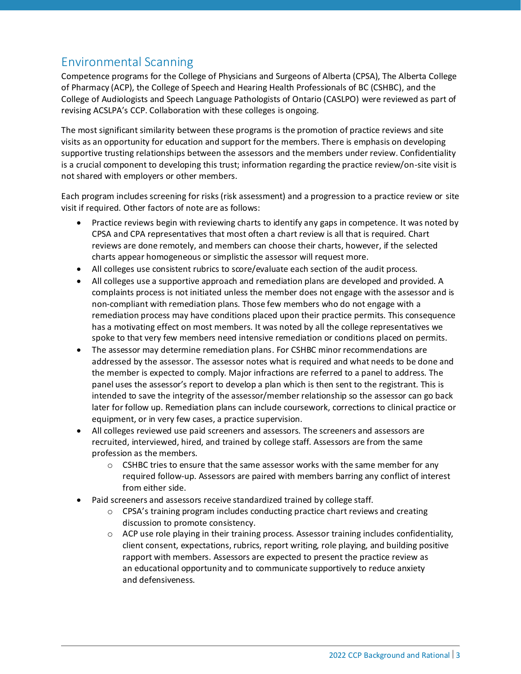# Environmental Scanning

Competence programs for the College of Physicians and Surgeons of Alberta (CPSA), The Alberta College of Pharmacy (ACP), the College of Speech and Hearing Health Professionals of BC (CSHBC), and the College of Audiologists and Speech Language Pathologists of Ontario (CASLPO) were reviewed as part of revising ACSLPA's CCP. Collaboration with these colleges is ongoing.

The most significant similarity between these programs is the promotion of practice reviews and site visits as an opportunity for education and support for the members. There is emphasis on developing supportive trusting relationships between the assessors and the members under review. Confidentiality is a crucial component to developing this trust; information regarding the practice review/on-site visit is not shared with employers or other members.

Each program includes screening for risks (risk assessment) and a progression to a practice review or site visit if required. Other factors of note are as follows:

- Practice reviews begin with reviewing charts to identify any gaps in competence. It was noted by CPSA and CPA representatives that most often a chart review is all that is required. Chart reviews are done remotely, and members can choose their charts, however, if the selected charts appear homogeneous or simplistic the assessor will request more.
- All colleges use consistent rubrics to score/evaluate each section of the audit process.
- All colleges use a supportive approach and remediation plans are developed and provided. A complaints process is not initiated unless the member does not engage with the assessor and is non-compliant with remediation plans. Those few members who do not engage with a remediation process may have conditions placed upon their practice permits. This consequence has a motivating effect on most members. It was noted by all the college representatives we spoke to that very few members need intensive remediation or conditions placed on permits.
- The assessor may determine remediation plans. For CSHBC minor recommendations are addressed by the assessor. The assessor notes what is required and what needs to be done and the member is expected to comply. Major infractions are referred to a panel to address. The panel uses the assessor's report to develop a plan which is then sent to the registrant. This is intended to save the integrity of the assessor/member relationship so the assessor can go back later for follow up. Remediation plans can include coursework, corrections to clinical practice or equipment, or in very few cases, a practice supervision.
- All colleges reviewed use paid screeners and assessors. The screeners and assessors are recruited, interviewed, hired, and trained by college staff. Assessors are from the same profession as the members.
	- $\circ$  CSHBC tries to ensure that the same assessor works with the same member for any required follow-up. Assessors are paired with members barring any conflict of interest from either side.
- Paid screeners and assessors receive standardized trained by college staff.
	- $\circ$  CPSA's training program includes conducting practice chart reviews and creating discussion to promote consistency.
	- $\circ$  ACP use role playing in their training process. Assessor training includes confidentiality, client consent, expectations, rubrics, report writing, role playing, and building positive rapport with members. Assessors are expected to present the practice review as an educational opportunity and to communicate supportively to reduce anxiety and defensiveness.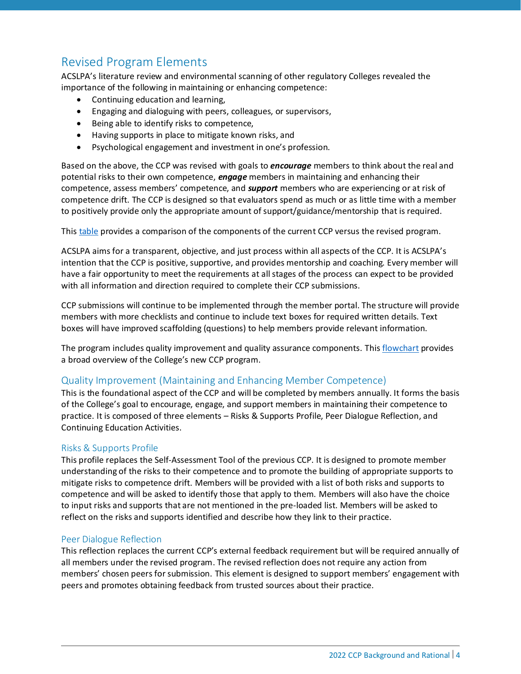# Revised Program Elements

ACSLPA's literature review and environmental scanning of other regulatory Colleges revealed the importance of the following in maintaining or enhancing competence:

- Continuing education and learning,
- Engaging and dialoguing with peers, colleagues, or supervisors,
- Being able to identify risks to competence,
- Having supports in place to mitigate known risks, and
- Psychological engagement and investment in one's profession.

Based on the above, the CCP was revised with goals to *encourage* members to think about the real and potential risks to their own competence, *engage* members in maintaining and enhancing their competence, assess members' competence, and *support* members who are experiencing or at risk of competence drift. The CCP is designed so that evaluators spend as much or as little time with a member to positively provide only the appropriate amount of support/guidance/mentorship that is required.

Thi[s table](https://www.acslpa.ca/wp-content/uploads/2022/01/2022-Current-CCP-vs-Revised-CCP.pdf) provides a comparison of the components of the current CCP versus the revised program.

ACSLPA aims for a transparent, objective, and just process within all aspects of the CCP. It is ACSLPA's intention that the CCP is positive, supportive, and provides mentorship and coaching. Every member will have a fair opportunity to meet the requirements at all stages of the process can expect to be provided with all information and direction required to complete their CCP submissions.

CCP submissions will continue to be implemented through the member portal. The structure will provide members with more checklists and continue to include text boxes for required written details. Text boxes will have improved scaffolding (questions) to help members provide relevant information.

The program includes quality improvement and quality assurance components. Thi[s flowchart](https://www.acslpa.ca/wp-content/uploads/2022/01/2022-CCP-Framework-Flowchart.pdf) provides a broad overview of the College's new CCP program.

#### Quality Improvement (Maintaining and Enhancing Member Competence)

This is the foundational aspect of the CCP and will be completed by members annually. It forms the basis of the College's goal to encourage, engage, and support members in maintaining their competence to practice. It is composed of three elements – Risks & Supports Profile, Peer Dialogue Reflection, and Continuing Education Activities.

#### Risks & Supports Profile

This profile replaces the Self-Assessment Tool of the previous CCP. It is designed to promote member understanding of the risks to their competence and to promote the building of appropriate supports to mitigate risks to competence drift. Members will be provided with a list of both risks and supports to competence and will be asked to identify those that apply to them. Members will also have the choice to input risks and supports that are not mentioned in the pre-loaded list. Members will be asked to reflect on the risks and supports identified and describe how they link to their practice.

#### Peer Dialogue Reflection

This reflection replaces the current CCP's external feedback requirement but will be required annually of all members under the revised program. The revised reflection does not require any action from members' chosen peers for submission. This element is designed to support members' engagement with peers and promotes obtaining feedback from trusted sources about their practice.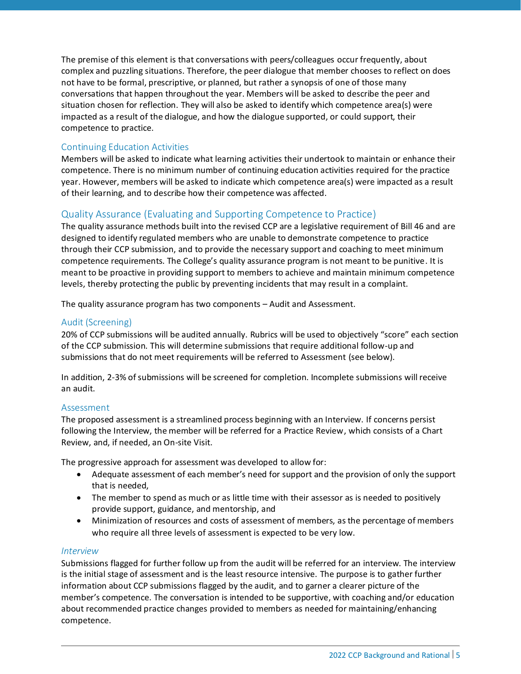The premise of this element is that conversations with peers/colleagues occur frequently, about complex and puzzling situations. Therefore, the peer dialogue that member chooses to reflect on does not have to be formal, prescriptive, or planned, but rather a synopsis of one of those many conversations that happen throughout the year. Members will be asked to describe the peer and situation chosen for reflection. They will also be asked to identify which competence area(s) were impacted as a result of the dialogue, and how the dialogue supported, or could support, their competence to practice.

### Continuing Education Activities

Members will be asked to indicate what learning activities their undertook to maintain or enhance their competence. There is no minimum number of continuing education activities required for the practice year. However, members will be asked to indicate which competence area(s) were impacted as a result of their learning, and to describe how their competence was affected.

## Quality Assurance (Evaluating and Supporting Competence to Practice)

The quality assurance methods built into the revised CCP are a legislative requirement of Bill 46 and are designed to identify regulated members who are unable to demonstrate competence to practice through their CCP submission, and to provide the necessary support and coaching to meet minimum competence requirements. The College's quality assurance program is not meant to be punitive. It is meant to be proactive in providing support to members to achieve and maintain minimum competence levels, thereby protecting the public by preventing incidents that may result in a complaint.

The quality assurance program has two components – Audit and Assessment.

#### Audit (Screening)

20% of CCP submissions will be audited annually. Rubrics will be used to objectively "score" each section of the CCP submission. This will determine submissions that require additional follow-up and submissions that do not meet requirements will be referred to Assessment (see below).

In addition, 2-3% of submissions will be screened for completion. Incomplete submissions will receive an audit.

#### Assessment

The proposed assessment is a streamlined process beginning with an Interview. If concerns persist following the Interview, the member will be referred for a Practice Review, which consists of a Chart Review, and, if needed, an On-site Visit.

The progressive approach for assessment was developed to allow for:

- Adequate assessment of each member's need for support and the provision of only the support that is needed,
- The member to spend as much or as little time with their assessor as is needed to positively provide support, guidance, and mentorship, and
- Minimization of resources and costs of assessment of members, as the percentage of members who require all three levels of assessment is expected to be very low.

#### *Interview*

Submissions flagged for further follow up from the audit will be referred for an interview. The interview is the initial stage of assessment and is the least resource intensive. The purpose is to gather further information about CCP submissions flagged by the audit, and to garner a clearer picture of the member's competence. The conversation is intended to be supportive, with coaching and/or education about recommended practice changes provided to members as needed for maintaining/enhancing competence.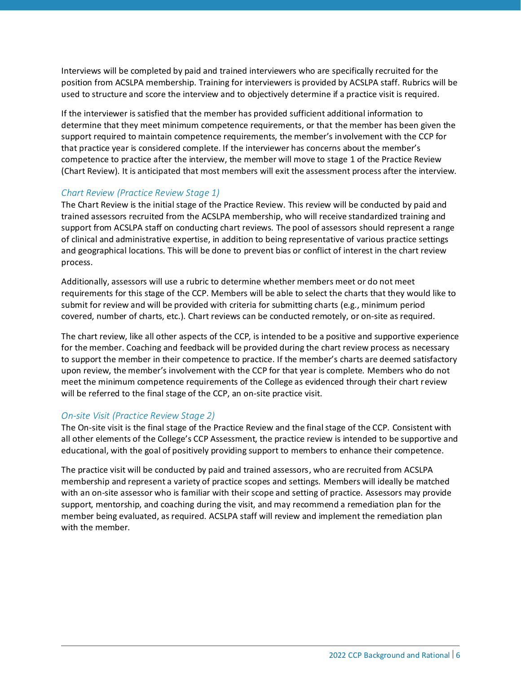Interviews will be completed by paid and trained interviewers who are specifically recruited for the position from ACSLPA membership. Training for interviewers is provided by ACSLPA staff. Rubrics will be used to structure and score the interview and to objectively determine if a practice visit is required.

If the interviewer is satisfied that the member has provided sufficient additional information to determine that they meet minimum competence requirements, or that the member has been given the support required to maintain competence requirements, the member's involvement with the CCP for that practice year is considered complete. If the interviewer has concerns about the member's competence to practice after the interview, the member will move to stage 1 of the Practice Review (Chart Review). It is anticipated that most members will exit the assessment process after the interview.

#### *Chart Review (Practice Review Stage 1)*

The Chart Review is the initial stage of the Practice Review. This review will be conducted by paid and trained assessors recruited from the ACSLPA membership, who will receive standardized training and support from ACSLPA staff on conducting chart reviews. The pool of assessors should represent a range of clinical and administrative expertise, in addition to being representative of various practice settings and geographical locations. This will be done to prevent bias or conflict of interest in the chart review process.

Additionally, assessors will use a rubric to determine whether members meet or do not meet requirements for this stage of the CCP. Members will be able to select the charts that they would like to submit for review and will be provided with criteria for submitting charts (e.g., minimum period covered, number of charts, etc.). Chart reviews can be conducted remotely, or on-site as required.

The chart review, like all other aspects of the CCP, is intended to be a positive and supportive experience for the member. Coaching and feedback will be provided during the chart review process as necessary to support the member in their competence to practice. If the member's charts are deemed satisfactory upon review, the member's involvement with the CCP for that year is complete. Members who do not meet the minimum competence requirements of the College as evidenced through their chart review will be referred to the final stage of the CCP, an on-site practice visit.

#### *On-site Visit (Practice Review Stage 2)*

The On-site visit is the final stage of the Practice Review and the final stage of the CCP. Consistent with all other elements of the College's CCP Assessment, the practice review is intended to be supportive and educational, with the goal of positively providing support to members to enhance their competence.

The practice visit will be conducted by paid and trained assessors, who are recruited from ACSLPA membership and represent a variety of practice scopes and settings. Members will ideally be matched with an on-site assessor who is familiar with their scope and setting of practice. Assessors may provide support, mentorship, and coaching during the visit, and may recommend a remediation plan for the member being evaluated, as required. ACSLPA staff will review and implement the remediation plan with the member.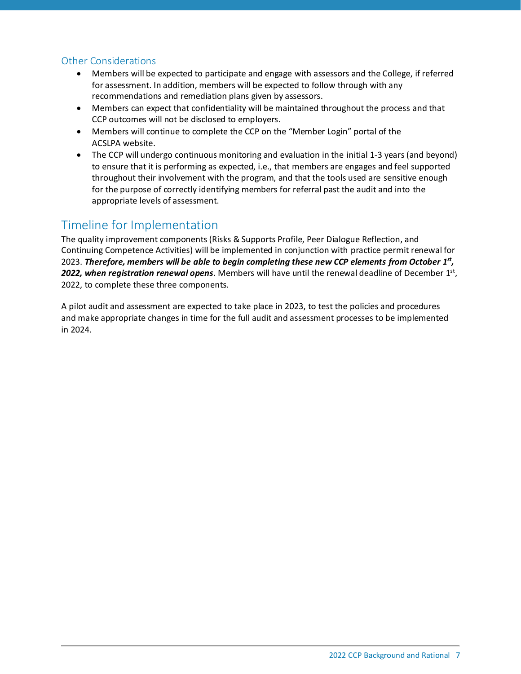### Other Considerations

- Members will be expected to participate and engage with assessors and the College, if referred for assessment. In addition, members will be expected to follow through with any recommendations and remediation plans given by assessors.
- Members can expect that confidentiality will be maintained throughout the process and that CCP outcomes will not be disclosed to employers.
- Members will continue to complete the CCP on the "Member Login" portal of the ACSLPA website.
- The CCP will undergo continuous monitoring and evaluation in the initial 1-3 years (and beyond) to ensure that it is performing as expected, i.e., that members are engages and feel supported throughout their involvement with the program, and that the tools used are sensitive enough for the purpose of correctly identifying members for referral past the audit and into the appropriate levels of assessment.

## Timeline for Implementation

The quality improvement components (Risks & Supports Profile, Peer Dialogue Reflection, and Continuing Competence Activities) will be implemented in conjunction with practice permit renewal for 2023. *Therefore, members will be able to begin completing these new CCP elements from October 1 st ,* 2022, when registration renewal opens. Members will have until the renewal deadline of December 1<sup>st</sup>, 2022, to complete these three components.

A pilot audit and assessment are expected to take place in 2023, to test the policies and procedures and make appropriate changes in time for the full audit and assessment processes to be implemented in 2024.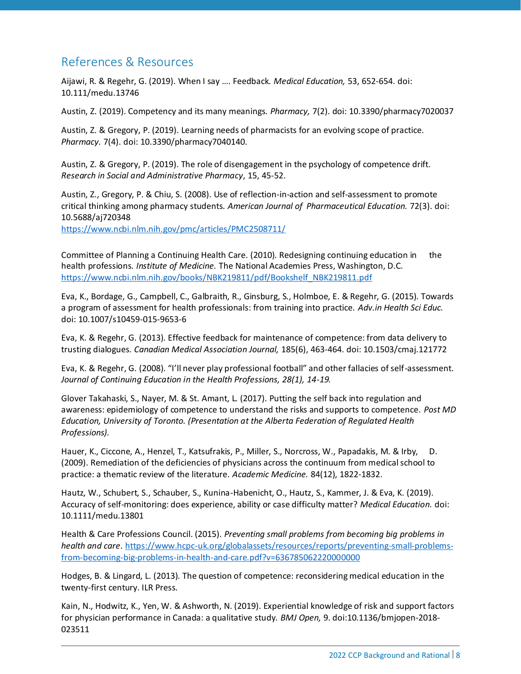## References & Resources

Aijawi, R. & Regehr, G. (2019). When I say …. Feedback. *Medical Education,* 53, 652-654. doi: 10.111/medu.13746

Austin, Z. (2019). Competency and its many meanings. *Pharmacy,* 7(2). doi: 10.3390/pharmacy7020037

Austin, Z. & Gregory, P. (2019). Learning needs of pharmacists for an evolving scope of practice. *Pharmacy.* 7(4). doi: 10.3390/pharmacy7040140.

Austin, Z. & Gregory, P. (2019). The role of disengagement in the psychology of competence drift. *Research in Social and Administrative Pharmacy*, 15, 45-52.

Austin, Z., Gregory, P. & Chiu, S. (2008). Use of reflection-in-action and self-assessment to promote critical thinking among pharmacy students. *American Journal of Pharmaceutical Education.* 72(3). doi: 10.5688/aj720348

<https://www.ncbi.nlm.nih.gov/pmc/articles/PMC2508711/>

Committee of Planning a Continuing Health Care. (2010). Redesigning continuing education in the health professions. *Institute of Medicine.* The National Academies Press, Washington, D.C. [https://www.ncbi.nlm.nih.gov/books/NBK219811/pdf/Bookshelf\\_NBK219811.pdf](https://www.ncbi.nlm.nih.gov/books/NBK219811/pdf/Bookshelf_NBK219811.pdf)

Eva, K., Bordage, G., Campbell, C., Galbraith, R., Ginsburg, S., Holmboe, E. & Regehr, G. (2015). Towards a program of assessment for health professionals: from training into practice. *Adv.in Health Sci Educ.*  doi: 10.1007/s10459-015-9653-6

Eva, K. & Regehr, G. (2013). Effective feedback for maintenance of competence: from data delivery to trusting dialogues. *Canadian Medical Association Journal,* 185(6), 463-464. doi: 10.1503/cmaj.121772

Eva, K. & Regehr, G. (2008). "I'll never play professional football" and other fallacies of self-assessment. *Journal of Continuing Education in the Health Professions, 28(1), 14-19.* 

Glover Takahaski, S., Nayer, M. & St. Amant, L. (2017). Putting the self back into regulation and awareness: epidemiology of competence to understand the risks and supports to competence. *Post MD Education, University of Toronto. (Presentation at the Alberta Federation of Regulated Health Professions).* 

Hauer, K., Ciccone, A., Henzel, T., Katsufrakis, P., Miller, S., Norcross, W., Papadakis, M. & Irby, D. (2009). Remediation of the deficiencies of physicians across the continuum from medical school to practice: a thematic review of the literature. *Academic Medicine.* 84(12), 1822-1832.

Hautz, W., Schubert, S., Schauber, S., Kunina-Habenicht, O., Hautz, S., Kammer, J. & Eva, K. (2019). Accuracy of self-monitoring: does experience, ability or case difficulty matter? *Medical Education.* doi: 10.1111/medu.13801

Health & Care Professions Council. (2015). *Preventing small problems from becoming big problems in health and care*. [https://www.hcpc-uk.org/globalassets/resources/reports/preventing-small-problems](https://www.hcpc-uk.org/globalassets/resources/reports/preventing-small-problems-from-becoming-big-problems-in-health-and-care.pdf?v=636785062220000000)[from-becoming-big-problems-in-health-and-care.pdf?v=636785062220000000](https://www.hcpc-uk.org/globalassets/resources/reports/preventing-small-problems-from-becoming-big-problems-in-health-and-care.pdf?v=636785062220000000)

Hodges, B. & Lingard, L. (2013). The question of competence: reconsidering medical education in the twenty-first century. ILR Press.

Kain, N., Hodwitz, K., Yen, W. & Ashworth, N. (2019). Experiential knowledge of risk and support factors for physician performance in Canada: a qualitative study. *BMJ Open,* 9. doi:10.1136/bmjopen-2018- 023511